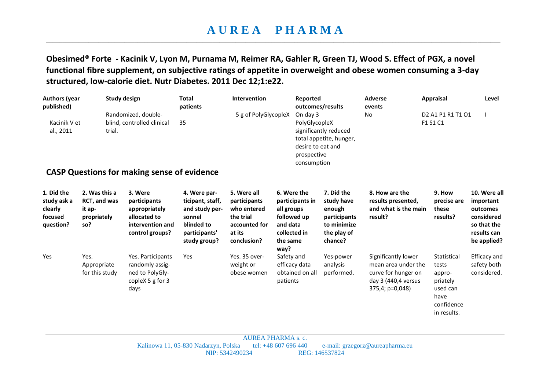## **A U R E A P H A R M A**  \_\_\_\_\_\_\_\_\_\_\_\_\_\_\_\_\_\_\_\_\_\_\_\_\_\_\_\_\_\_\_\_\_\_\_\_\_\_\_\_\_\_\_\_\_\_\_\_\_\_\_\_\_\_\_\_\_\_\_\_\_\_\_\_\_\_\_\_\_\_\_\_\_\_\_\_\_\_\_\_\_\_\_\_\_\_\_\_\_\_\_\_\_\_\_\_\_\_\_\_\_\_\_\_\_\_\_\_\_\_\_\_\_\_\_\_\_\_\_\_\_\_\_\_\_\_\_\_\_\_\_\_\_\_\_\_\_\_\_

**Obesimed® Forte - Kacinik V, Lyon M, Purnama M, Reimer RA, Gahler R, Green TJ, Wood S. Effect of PGX, a novel functional fibre supplement, on subjective ratings of appetite in overweight and obese women consuming a 3-day structured, low-calorie diet. Nutr Diabetes. 2011 Dec 12;1:e22.**

| <b>Authors (year</b><br>published)                           | <b>Study design</b>                                                  |                                                                                                 | <b>Total</b><br>patients                                                                                    | Intervention<br>Reported                                                                          |                                                                                                             | outcomes/results                                                                            | <b>Adverse</b><br>events                                                                                    | <b>Appraisal</b>                                                                                      | Level                                                                                            |
|--------------------------------------------------------------|----------------------------------------------------------------------|-------------------------------------------------------------------------------------------------|-------------------------------------------------------------------------------------------------------------|---------------------------------------------------------------------------------------------------|-------------------------------------------------------------------------------------------------------------|---------------------------------------------------------------------------------------------|-------------------------------------------------------------------------------------------------------------|-------------------------------------------------------------------------------------------------------|--------------------------------------------------------------------------------------------------|
| Kacinik V et<br>al., 2011                                    | trial.                                                               | Randomized, double-<br>blind, controlled clinical                                               | 35                                                                                                          | 5 g of PolyGlycopleX                                                                              | On day 3<br>PolyGlycopleX<br>prospective<br>consumption                                                     | significantly reduced<br>total appetite, hunger,<br>desire to eat and                       | No                                                                                                          | D <sub>2</sub> A <sub>1</sub> P <sub>1</sub> R <sub>1</sub> T <sub>1</sub> O <sub>1</sub><br>F1 S1 C1 |                                                                                                  |
|                                                              |                                                                      | <b>CASP Questions for making sense of evidence</b>                                              |                                                                                                             |                                                                                                   |                                                                                                             |                                                                                             |                                                                                                             |                                                                                                       |                                                                                                  |
| 1. Did the<br>study ask a<br>clearly<br>focused<br>question? | 2. Was this a<br><b>RCT, and was</b><br>it ap-<br>propriately<br>so? | 3. Were<br>participants<br>appropriately<br>allocated to<br>intervention and<br>control groups? | 4. Were par-<br>ticipant, staff,<br>and study per-<br>sonnel<br>blinded to<br>participants'<br>study group? | 5. Were all<br>participants<br>who entered<br>the trial<br>accounted for<br>at its<br>conclusion? | 6. Were the<br>participants in<br>all groups<br>followed up<br>and data<br>collected in<br>the same<br>way? | 7. Did the<br>study have<br>enough<br>participants<br>to minimize<br>the play of<br>chance? | 8. How are the<br>results presented,<br>and what is the main<br>result?                                     | 9. How<br>precise are<br>these<br>results?                                                            | 10. Were all<br>important<br>outcomes<br>considered<br>so that the<br>results can<br>be applied? |
| Yes                                                          | Yes.<br>Appropriate<br>for this study                                | Yes. Participants<br>randomly assig-<br>ned to PolyGly-<br>copleX 5 g for 3<br>days             | Yes                                                                                                         | Yes. 35 over-<br>weight or<br>obese women                                                         | Safety and<br>efficacy data<br>obtained on all<br>patients                                                  | Yes-power<br>analysis<br>performed.                                                         | Significantly lower<br>mean area under the<br>curve for hunger on<br>day 3 (440,4 versus<br>375,4; p=0,048) | Statistical<br>tests<br>appro-<br>priately<br>used can<br>have<br>confidence<br>in results.           | Efficacy and<br>safety both<br>considered.                                                       |